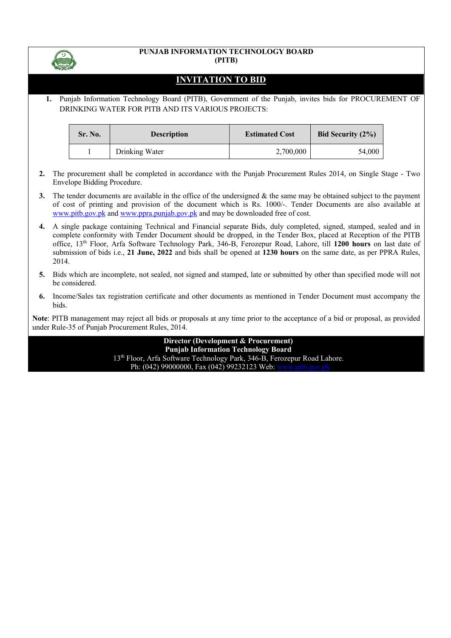

#### **PUNJAB INFORMATION TECHNOLOGY BOARD (PITB)**

# **INVITATION TO BID**

**1.** Punjab Information Technology Board (PITB), Government of the Punjab, invites bids for PROCUREMENT OF DRINKING WATER FOR PITB AND ITS VARIOUS PROJECTS:

| Sr. No. | <b>Description</b> | <b>Estimated Cost</b> | Bid Security $(2\%)$ |  |
|---------|--------------------|-----------------------|----------------------|--|
|         | Drinking Water     | 2,700,000             | 54,000               |  |

- **2.** The procurement shall be completed in accordance with the Punjab Procurement Rules 2014, on Single Stage Two Envelope Bidding Procedure.
- **3.** The tender documents are available in the office of the undersigned & the same may be obtained subject to the payment of cost of printing and provision of the document which is Rs. 1000/-. Tender Documents are also available at www.pitb.gov.pk and www.ppra.punjab.gov.pk and may be downloaded free of cost.
- **4.** A single package containing Technical and Financial separate Bids, duly completed, signed, stamped, sealed and in complete conformity with Tender Document should be dropped, in the Tender Box, placed at Reception of the PITB office, 13th Floor, Arfa Software Technology Park, 346-B, Ferozepur Road, Lahore, till **1200 hours** on last date of submission of bids i.e., **21 June, 2022** and bids shall be opened at **1230 hours** on the same date, as per PPRA Rules, 2014.
- **5.** Bids which are incomplete, not sealed, not signed and stamped, late or submitted by other than specified mode will not be considered.
- **6.** Income/Sales tax registration certificate and other documents as mentioned in Tender Document must accompany the bids.

**Note**: PITB management may reject all bids or proposals at any time prior to the acceptance of a bid or proposal, as provided under Rule-35 of Punjab Procurement Rules, 2014.

> **Director (Development & Procurement) Punjab Information Technology Board** 13th Floor, Arfa Software Technology Park, 346-B, Ferozepur Road Lahore. Ph: (042) 99000000, Fax (042) 99232123 Web: www.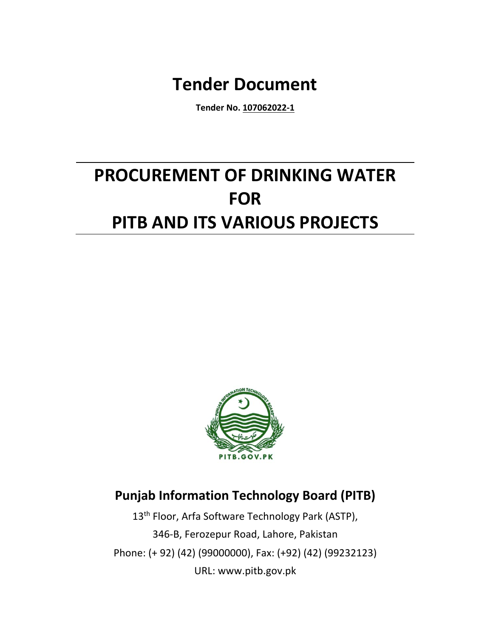# **Tender Document**

**Tender No. 107062022-1**

# **PROCUREMENT OF DRINKING WATER FOR PITB AND ITS VARIOUS PROJECTS**



# **Punjab Information Technology Board (PITB)**

13<sup>th</sup> Floor, Arfa Software Technology Park (ASTP), 346-B, Ferozepur Road, Lahore, Pakistan Phone: (+ 92) (42) (99000000), Fax: (+92) (42) (99232123) URL: www.pitb.gov.pk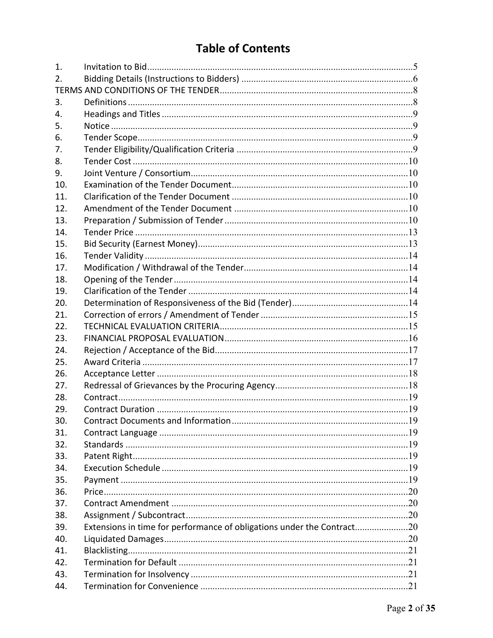# **Table of Contents**

| 1.  |                                                                        |  |
|-----|------------------------------------------------------------------------|--|
| 2.  |                                                                        |  |
|     |                                                                        |  |
| 3.  |                                                                        |  |
| 4.  |                                                                        |  |
| 5.  |                                                                        |  |
| 6.  |                                                                        |  |
| 7.  |                                                                        |  |
| 8.  |                                                                        |  |
| 9.  |                                                                        |  |
| 10. |                                                                        |  |
| 11. |                                                                        |  |
| 12. |                                                                        |  |
| 13. |                                                                        |  |
| 14. |                                                                        |  |
| 15. |                                                                        |  |
| 16. |                                                                        |  |
| 17. |                                                                        |  |
| 18. |                                                                        |  |
| 19. |                                                                        |  |
| 20. |                                                                        |  |
| 21. |                                                                        |  |
| 22. |                                                                        |  |
| 23. |                                                                        |  |
| 24. |                                                                        |  |
| 25. |                                                                        |  |
| 26. |                                                                        |  |
| 27. |                                                                        |  |
| 28. |                                                                        |  |
| 29. |                                                                        |  |
| 30. |                                                                        |  |
| 31. |                                                                        |  |
| 32. |                                                                        |  |
| 33. |                                                                        |  |
| 34. |                                                                        |  |
| 35. |                                                                        |  |
| 36. |                                                                        |  |
| 37. |                                                                        |  |
| 38. |                                                                        |  |
| 39. | Extensions in time for performance of obligations under the Contract20 |  |
| 40. |                                                                        |  |
| 41. |                                                                        |  |
| 42. |                                                                        |  |
| 43. |                                                                        |  |
| 44. |                                                                        |  |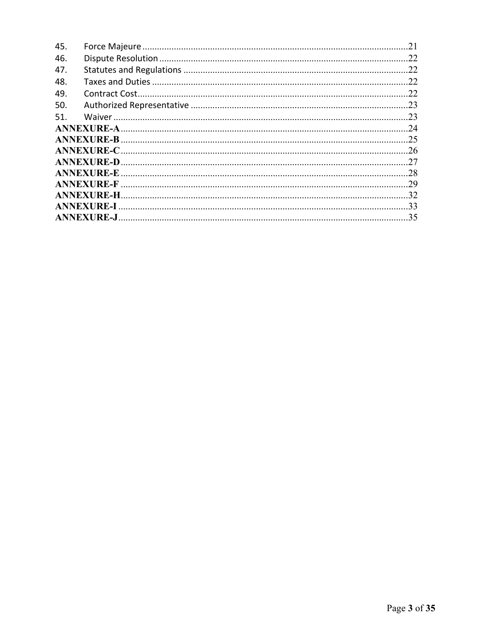| 45. |  |
|-----|--|
| 46. |  |
| 47. |  |
| 48. |  |
| 49. |  |
| 50. |  |
| 51. |  |
|     |  |
|     |  |
|     |  |
|     |  |
|     |  |
|     |  |
|     |  |
|     |  |
|     |  |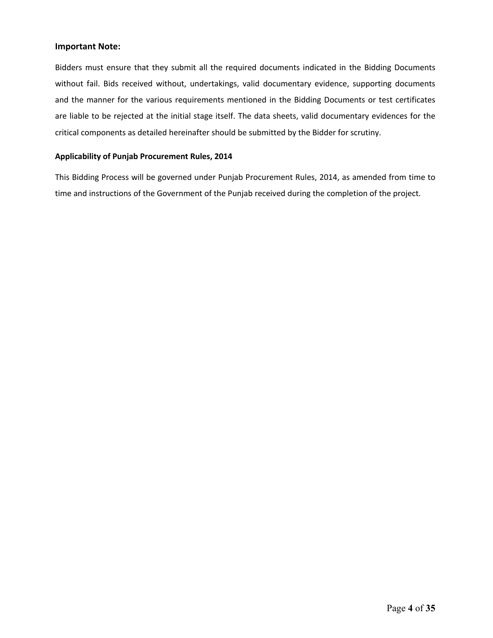# **Important Note:**

Bidders must ensure that they submit all the required documents indicated in the Bidding Documents without fail. Bids received without, undertakings, valid documentary evidence, supporting documents and the manner for the various requirements mentioned in the Bidding Documents or test certificates are liable to be rejected at the initial stage itself. The data sheets, valid documentary evidences for the critical components as detailed hereinafter should be submitted by the Bidder for scrutiny.

# **Applicability of Punjab Procurement Rules, 2014**

This Bidding Process will be governed under Punjab Procurement Rules, 2014, as amended from time to time and instructions of the Government of the Punjab received during the completion of the project.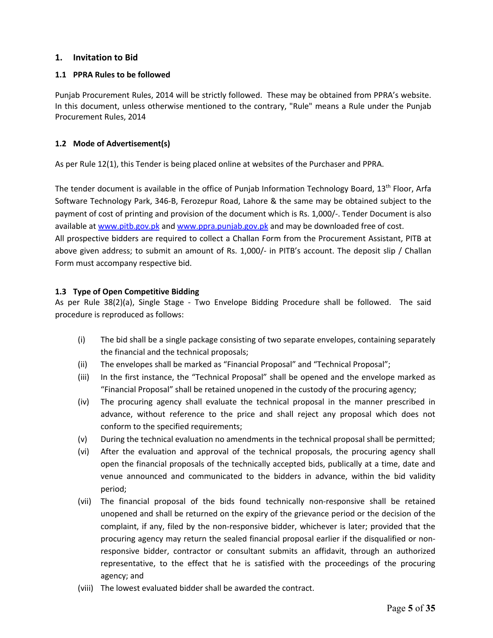# **1. Invitation to Bid**

# **1.1 PPRA Rules to be followed**

Punjab Procurement Rules, 2014 will be strictly followed. These may be obtained from PPRA's website. In this document, unless otherwise mentioned to the contrary, "Rule" means a Rule under the Punjab Procurement Rules, 2014

# **1.2 Mode of Advertisement(s)**

As per Rule 12(1), this Tender is being placed online at websites of the Purchaser and PPRA.

The tender document is available in the office of Punjab Information Technology Board,  $13<sup>th</sup>$  Floor, Arfa Software Technology Park, 346-B, Ferozepur Road, Lahore & the same may be obtained subject to the payment of cost of printing and provision of the document which is Rs. 1,000/-. Tender Document is also available at www.pitb.gov.pk and www.ppra.punjab.gov.pk and may be downloaded free of cost. All prospective bidders are required to collect a Challan Form from the Procurement Assistant, PITB at above given address; to submit an amount of Rs. 1,000/- in PITB's account. The deposit slip / Challan Form must accompany respective bid.

### **1.3 Type of Open Competitive Bidding**

As per Rule 38(2)(a), Single Stage - Two Envelope Bidding Procedure shall be followed. The said procedure is reproduced as follows:

- (i) The bid shall be a single package consisting of two separate envelopes, containing separately the financial and the technical proposals;
- (ii) The envelopes shall be marked as "Financial Proposal" and "Technical Proposal";
- (iii) In the first instance, the "Technical Proposal" shall be opened and the envelope marked as "Financial Proposal" shall be retained unopened in the custody of the procuring agency;
- (iv) The procuring agency shall evaluate the technical proposal in the manner prescribed in advance, without reference to the price and shall reject any proposal which does not conform to the specified requirements;
- (v) During the technical evaluation no amendments in the technical proposal shall be permitted;
- (vi) After the evaluation and approval of the technical proposals, the procuring agency shall open the financial proposals of the technically accepted bids, publically at a time, date and venue announced and communicated to the bidders in advance, within the bid validity period;
- (vii) The financial proposal of the bids found technically non-responsive shall be retained unopened and shall be returned on the expiry of the grievance period or the decision of the complaint, if any, filed by the non-responsive bidder, whichever is later; provided that the procuring agency may return the sealed financial proposal earlier if the disqualified or nonresponsive bidder, contractor or consultant submits an affidavit, through an authorized representative, to the effect that he is satisfied with the proceedings of the procuring agency; and
- (viii) The lowest evaluated bidder shall be awarded the contract.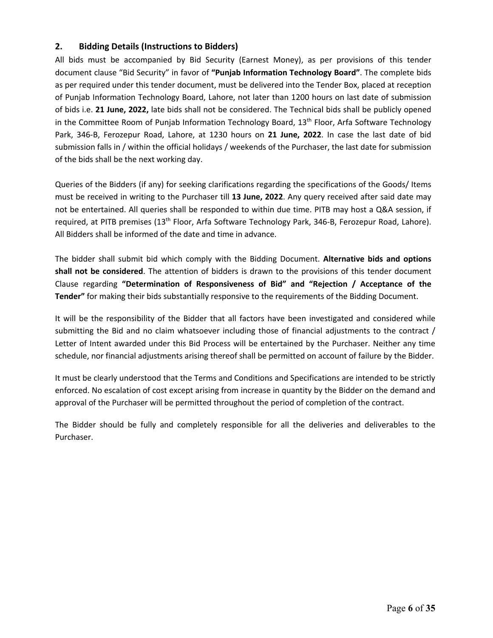# **2. Bidding Details (Instructions to Bidders)**

All bids must be accompanied by Bid Security (Earnest Money), as per provisions of this tender document clause "Bid Security" in favor of **"Punjab Information Technology Board"**. The complete bids as per required under this tender document, must be delivered into the Tender Box, placed at reception of Punjab Information Technology Board, Lahore, not later than 1200 hours on last date of submission of bids i.e. **21 June, 2022,** late bids shall not be considered. The Technical bids shall be publicly opened in the Committee Room of Punjab Information Technology Board, 13<sup>th</sup> Floor, Arfa Software Technology Park, 346-B, Ferozepur Road, Lahore, at 1230 hours on **21 June, 2022**. In case the last date of bid submission falls in / within the official holidays / weekends of the Purchaser, the last date for submission of the bids shall be the next working day.

Queries of the Bidders (if any) for seeking clarifications regarding the specifications of the Goods/ Items must be received in writing to the Purchaser till **13 June, 2022**. Any query received after said date may not be entertained. All queries shall be responded to within due time. PITB may host a Q&A session, if required, at PITB premises (13<sup>th</sup> Floor, Arfa Software Technology Park, 346-B, Ferozepur Road, Lahore). All Bidders shall be informed of the date and time in advance.

The bidder shall submit bid which comply with the Bidding Document. **Alternative bids and options shall not be considered**. The attention of bidders is drawn to the provisions of this tender document Clause regarding **"Determination of Responsiveness of Bid" and "Rejection / Acceptance of the Tender"** for making their bids substantially responsive to the requirements of the Bidding Document.

It will be the responsibility of the Bidder that all factors have been investigated and considered while submitting the Bid and no claim whatsoever including those of financial adjustments to the contract / Letter of Intent awarded under this Bid Process will be entertained by the Purchaser. Neither any time schedule, nor financial adjustments arising thereof shall be permitted on account of failure by the Bidder.

It must be clearly understood that the Terms and Conditions and Specifications are intended to be strictly enforced. No escalation of cost except arising from increase in quantity by the Bidder on the demand and approval of the Purchaser will be permitted throughout the period of completion of the contract.

The Bidder should be fully and completely responsible for all the deliveries and deliverables to the Purchaser.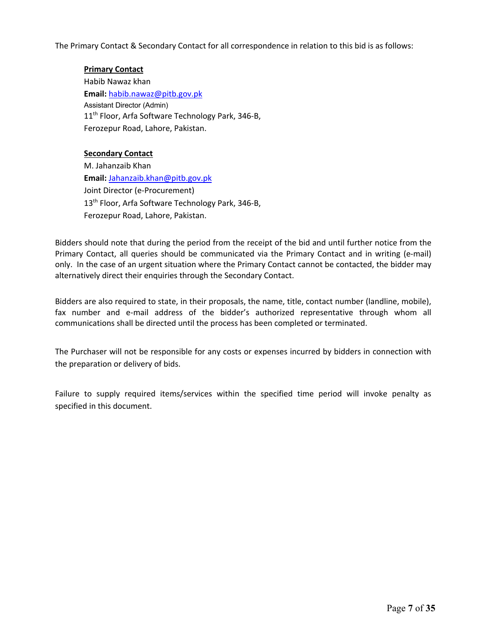The Primary Contact & Secondary Contact for all correspondence in relation to this bid is as follows:

# **Primary Contact**

Habib Nawaz khan **Email:** habib.nawaz@pitb.gov.pk Assistant Director (Admin) 11<sup>th</sup> Floor, Arfa Software Technology Park, 346-B, Ferozepur Road, Lahore, Pakistan.

# **Secondary Contact**

M. Jahanzaib Khan **Email:** Jahanzaib.khan@pitb.gov.pk Joint Director (e-Procurement) 13<sup>th</sup> Floor, Arfa Software Technology Park, 346-B, Ferozepur Road, Lahore, Pakistan.

Bidders should note that during the period from the receipt of the bid and until further notice from the Primary Contact, all queries should be communicated via the Primary Contact and in writing (e-mail) only. In the case of an urgent situation where the Primary Contact cannot be contacted, the bidder may alternatively direct their enquiries through the Secondary Contact.

Bidders are also required to state, in their proposals, the name, title, contact number (landline, mobile), fax number and e-mail address of the bidder's authorized representative through whom all communications shall be directed until the process has been completed or terminated.

The Purchaser will not be responsible for any costs or expenses incurred by bidders in connection with the preparation or delivery of bids.

Failure to supply required items/services within the specified time period will invoke penalty as specified in this document.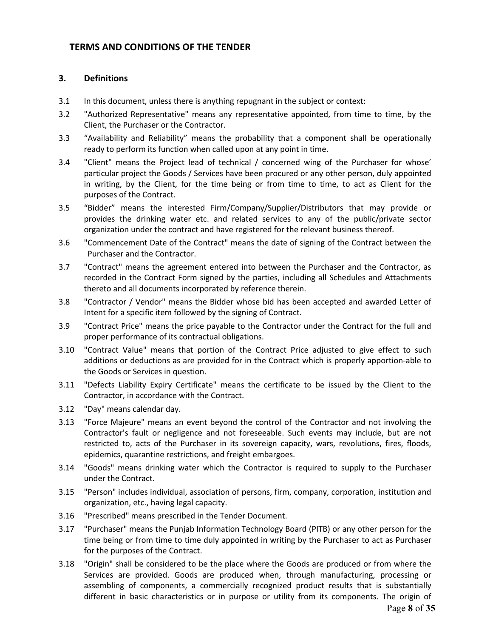# **TERMS AND CONDITIONS OF THE TENDER**

# **3. Definitions**

- 3.1 In this document, unless there is anything repugnant in the subject or context:
- 3.2 "Authorized Representative" means any representative appointed, from time to time, by the Client, the Purchaser or the Contractor.
- 3.3 "Availability and Reliability" means the probability that a component shall be operationally ready to perform its function when called upon at any point in time.
- 3.4 "Client" means the Project lead of technical / concerned wing of the Purchaser for whose' particular project the Goods / Services have been procured or any other person, duly appointed in writing, by the Client, for the time being or from time to time, to act as Client for the purposes of the Contract.
- 3.5 "Bidder" means the interested Firm/Company/Supplier/Distributors that may provide or provides the drinking water etc. and related services to any of the public/private sector organization under the contract and have registered for the relevant business thereof.
- 3.6 "Commencement Date of the Contract" means the date of signing of the Contract between the Purchaser and the Contractor.
- 3.7 "Contract" means the agreement entered into between the Purchaser and the Contractor, as recorded in the Contract Form signed by the parties, including all Schedules and Attachments thereto and all documents incorporated by reference therein.
- 3.8 "Contractor / Vendor" means the Bidder whose bid has been accepted and awarded Letter of Intent for a specific item followed by the signing of Contract.
- 3.9 "Contract Price" means the price payable to the Contractor under the Contract for the full and proper performance of its contractual obligations.
- 3.10 "Contract Value" means that portion of the Contract Price adjusted to give effect to such additions or deductions as are provided for in the Contract which is properly apportion-able to the Goods or Services in question.
- 3.11 "Defects Liability Expiry Certificate" means the certificate to be issued by the Client to the Contractor, in accordance with the Contract.
- 3.12 "Day" means calendar day.
- 3.13 "Force Majeure" means an event beyond the control of the Contractor and not involving the Contractor's fault or negligence and not foreseeable. Such events may include, but are not restricted to, acts of the Purchaser in its sovereign capacity, wars, revolutions, fires, floods, epidemics, quarantine restrictions, and freight embargoes.
- 3.14 "Goods" means drinking water which the Contractor is required to supply to the Purchaser under the Contract.
- 3.15 "Person" includes individual, association of persons, firm, company, corporation, institution and organization, etc., having legal capacity.
- 3.16 "Prescribed" means prescribed in the Tender Document.
- 3.17 "Purchaser" means the Punjab Information Technology Board (PITB) or any other person for the time being or from time to time duly appointed in writing by the Purchaser to act as Purchaser for the purposes of the Contract.
- 3.18 "Origin" shall be considered to be the place where the Goods are produced or from where the Services are provided. Goods are produced when, through manufacturing, processing or assembling of components, a commercially recognized product results that is substantially different in basic characteristics or in purpose or utility from its components. The origin of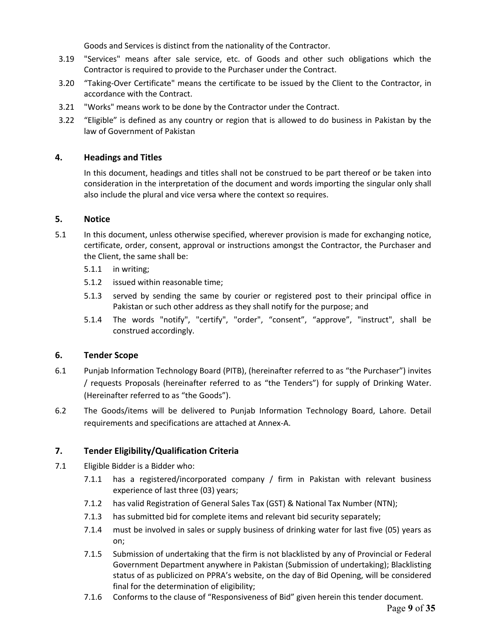Goods and Services is distinct from the nationality of the Contractor.

- 3.19 "Services" means after sale service, etc. of Goods and other such obligations which the Contractor is required to provide to the Purchaser under the Contract.
- 3.20 "Taking-Over Certificate" means the certificate to be issued by the Client to the Contractor, in accordance with the Contract.
- 3.21 "Works" means work to be done by the Contractor under the Contract.
- 3.22 "Eligible" is defined as any country or region that is allowed to do business in Pakistan by the law of Government of Pakistan

# **4. Headings and Titles**

In this document, headings and titles shall not be construed to be part thereof or be taken into consideration in the interpretation of the document and words importing the singular only shall also include the plural and vice versa where the context so requires.

# **5. Notice**

- 5.1 In this document, unless otherwise specified, wherever provision is made for exchanging notice, certificate, order, consent, approval or instructions amongst the Contractor, the Purchaser and the Client, the same shall be:
	- 5.1.1 in writing;
	- 5.1.2 issued within reasonable time;
	- 5.1.3 served by sending the same by courier or registered post to their principal office in Pakistan or such other address as they shall notify for the purpose; and
	- 5.1.4 The words "notify", "certify", "order", "consent", "approve", "instruct", shall be construed accordingly.

# **6. Tender Scope**

- 6.1 Punjab Information Technology Board (PITB), (hereinafter referred to as "the Purchaser") invites / requests Proposals (hereinafter referred to as "the Tenders") for supply of Drinking Water. (Hereinafter referred to as "the Goods").
- 6.2 The Goods/items will be delivered to Punjab Information Technology Board, Lahore. Detail requirements and specifications are attached at Annex-A.

# **7. Tender Eligibility/Qualification Criteria**

- 7.1 Eligible Bidder is a Bidder who:
	- 7.1.1 has a registered/incorporated company / firm in Pakistan with relevant business experience of last three (03) years;
	- 7.1.2 has valid Registration of General Sales Tax (GST) & National Tax Number (NTN);
	- 7.1.3 has submitted bid for complete items and relevant bid security separately;
	- 7.1.4 must be involved in sales or supply business of drinking water for last five (05) years as on;
	- 7.1.5 Submission of undertaking that the firm is not blacklisted by any of Provincial or Federal Government Department anywhere in Pakistan (Submission of undertaking); Blacklisting status of as publicized on PPRA's website, on the day of Bid Opening, will be considered final for the determination of eligibility;
	- 7.1.6 Conforms to the clause of "Responsiveness of Bid" given herein this tender document.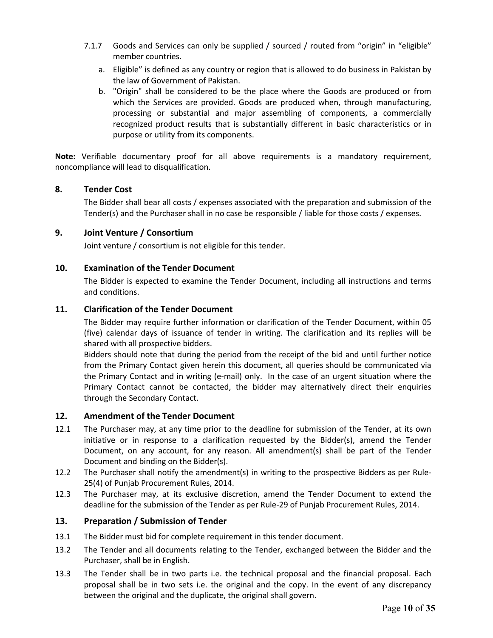- 7.1.7 Goods and Services can only be supplied / sourced / routed from "origin" in "eligible" member countries.
	- a. Eligible" is defined as any country or region that is allowed to do business in Pakistan by the law of Government of Pakistan.
	- b. "Origin" shall be considered to be the place where the Goods are produced or from which the Services are provided. Goods are produced when, through manufacturing, processing or substantial and major assembling of components, a commercially recognized product results that is substantially different in basic characteristics or in purpose or utility from its components.

**Note:** Verifiable documentary proof for all above requirements is a mandatory requirement, noncompliance will lead to disqualification.

# **8. Tender Cost**

The Bidder shall bear all costs / expenses associated with the preparation and submission of the Tender(s) and the Purchaser shall in no case be responsible / liable for those costs / expenses.

# **9. Joint Venture / Consortium**

Joint venture / consortium is not eligible for this tender.

# **10. Examination of the Tender Document**

The Bidder is expected to examine the Tender Document, including all instructions and terms and conditions.

# **11. Clarification of the Tender Document**

The Bidder may require further information or clarification of the Tender Document, within 05 (five) calendar days of issuance of tender in writing. The clarification and its replies will be shared with all prospective bidders.

Bidders should note that during the period from the receipt of the bid and until further notice from the Primary Contact given herein this document, all queries should be communicated via the Primary Contact and in writing (e-mail) only. In the case of an urgent situation where the Primary Contact cannot be contacted, the bidder may alternatively direct their enquiries through the Secondary Contact.

# **12. Amendment of the Tender Document**

- 12.1 The Purchaser may, at any time prior to the deadline for submission of the Tender, at its own initiative or in response to a clarification requested by the Bidder(s), amend the Tender Document, on any account, for any reason. All amendment(s) shall be part of the Tender Document and binding on the Bidder(s).
- 12.2 The Purchaser shall notify the amendment(s) in writing to the prospective Bidders as per Rule-25(4) of Punjab Procurement Rules, 2014.
- 12.3 The Purchaser may, at its exclusive discretion, amend the Tender Document to extend the deadline for the submission of the Tender as per Rule-29 of Punjab Procurement Rules, 2014.

# **13. Preparation / Submission of Tender**

- 13.1 The Bidder must bid for complete requirement in this tender document.
- 13.2 The Tender and all documents relating to the Tender, exchanged between the Bidder and the Purchaser, shall be in English.
- 13.3 The Tender shall be in two parts i.e. the technical proposal and the financial proposal. Each proposal shall be in two sets i.e. the original and the copy. In the event of any discrepancy between the original and the duplicate, the original shall govern.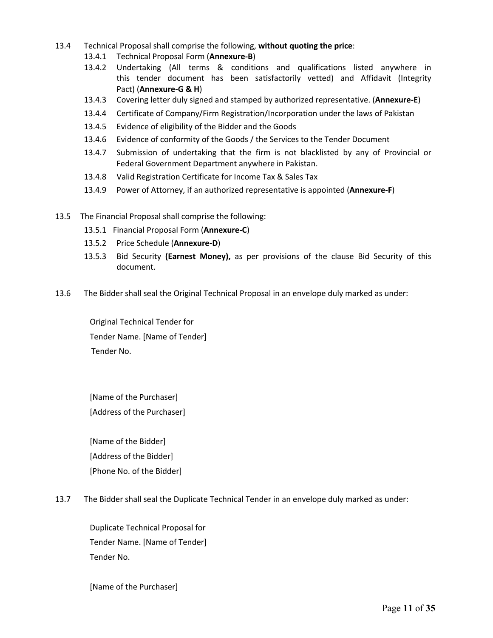- 13.4 Technical Proposal shall comprise the following, **without quoting the price**:
	- 13.4.1 Technical Proposal Form (**Annexure-B**)
	- 13.4.2 Undertaking (All terms & conditions and qualifications listed anywhere in this tender document has been satisfactorily vetted) and Affidavit (Integrity Pact) (**Annexure-G & H**)
	- 13.4.3 Covering letter duly signed and stamped by authorized representative. (**Annexure-E**)
	- 13.4.4 Certificate of Company/Firm Registration/Incorporation under the laws of Pakistan
	- 13.4.5 Evidence of eligibility of the Bidder and the Goods
	- 13.4.6 Evidence of conformity of the Goods / the Services to the Tender Document
	- 13.4.7 Submission of undertaking that the firm is not blacklisted by any of Provincial or Federal Government Department anywhere in Pakistan.
	- 13.4.8 Valid Registration Certificate for Income Tax & Sales Tax
	- 13.4.9 Power of Attorney, if an authorized representative is appointed (**Annexure-F**)
- 13.5 The Financial Proposal shall comprise the following:
	- 13.5.1 Financial Proposal Form (**Annexure-C**)
	- 13.5.2 Price Schedule (**Annexure-D**)
	- 13.5.3 Bid Security **(Earnest Money),** as per provisions of the clause Bid Security of this document.
- 13.6 The Bidder shall seal the Original Technical Proposal in an envelope duly marked as under:

Original Technical Tender for Tender Name. [Name of Tender] Tender No.

[Name of the Purchaser] [Address of the Purchaser]

[Name of the Bidder] [Address of the Bidder] [Phone No. of the Bidder]

13.7 The Bidder shall seal the Duplicate Technical Tender in an envelope duly marked as under:

Duplicate Technical Proposal for Tender Name. [Name of Tender] Tender No.

[Name of the Purchaser]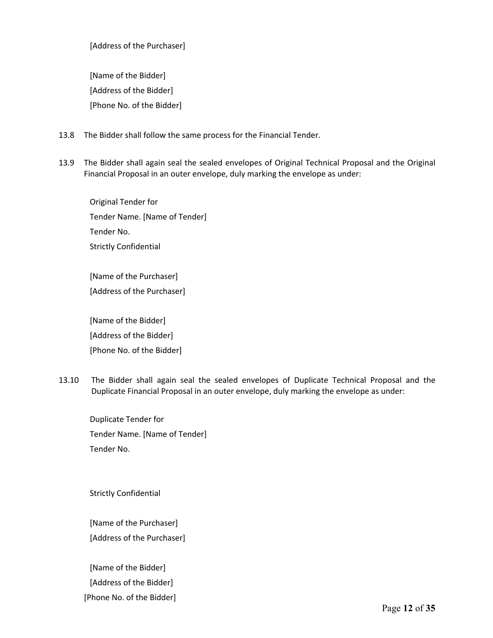[Address of the Purchaser]

[Name of the Bidder] [Address of the Bidder] [Phone No. of the Bidder]

- 13.8 The Bidder shall follow the same process for the Financial Tender.
- 13.9 The Bidder shall again seal the sealed envelopes of Original Technical Proposal and the Original Financial Proposal in an outer envelope, duly marking the envelope as under:

Original Tender for Tender Name. [Name of Tender] Tender No. Strictly Confidential

[Name of the Purchaser] [Address of the Purchaser]

[Name of the Bidder] [Address of the Bidder] [Phone No. of the Bidder]

13.10 The Bidder shall again seal the sealed envelopes of Duplicate Technical Proposal and the Duplicate Financial Proposal in an outer envelope, duly marking the envelope as under:

Duplicate Tender for Tender Name. [Name of Tender] Tender No.

Strictly Confidential

[Name of the Purchaser] [Address of the Purchaser]

[Name of the Bidder] [Address of the Bidder] [Phone No. of the Bidder]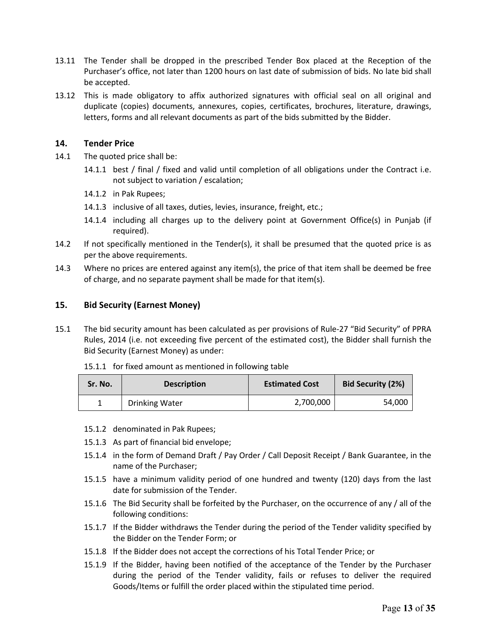- 13.11 The Tender shall be dropped in the prescribed Tender Box placed at the Reception of the Purchaser's office, not later than 1200 hours on last date of submission of bids. No late bid shall be accepted.
- 13.12 This is made obligatory to affix authorized signatures with official seal on all original and duplicate (copies) documents, annexures, copies, certificates, brochures, literature, drawings, letters, forms and all relevant documents as part of the bids submitted by the Bidder.

# **14. Tender Price**

- 14.1 The quoted price shall be:
	- 14.1.1 best / final / fixed and valid until completion of all obligations under the Contract i.e. not subject to variation / escalation;
	- 14.1.2 in Pak Rupees;
	- 14.1.3 inclusive of all taxes, duties, levies, insurance, freight, etc.;
	- 14.1.4 including all charges up to the delivery point at Government Office(s) in Punjab (if required).
- 14.2 If not specifically mentioned in the Tender(s), it shall be presumed that the quoted price is as per the above requirements.
- 14.3 Where no prices are entered against any item(s), the price of that item shall be deemed be free of charge, and no separate payment shall be made for that item(s).

# **15. Bid Security (Earnest Money)**

- 15.1 The bid security amount has been calculated as per provisions of Rule-27 "Bid Security" of PPRA Rules, 2014 (i.e. not exceeding five percent of the estimated cost), the Bidder shall furnish the Bid Security (Earnest Money) as under:
	- 15.1.1 for fixed amount as mentioned in following table

| Sr. No. | <b>Description</b>    | <b>Estimated Cost</b> | <b>Bid Security (2%)</b> |  |
|---------|-----------------------|-----------------------|--------------------------|--|
|         | <b>Drinking Water</b> | 2,700,000             | 54,000                   |  |

- 15.1.2 denominated in Pak Rupees;
- 15.1.3 As part of financial bid envelope;
- 15.1.4 in the form of Demand Draft / Pay Order / Call Deposit Receipt / Bank Guarantee, in the name of the Purchaser;
- 15.1.5 have a minimum validity period of one hundred and twenty (120) days from the last date for submission of the Tender.
- 15.1.6 The Bid Security shall be forfeited by the Purchaser, on the occurrence of any / all of the following conditions:
- 15.1.7 If the Bidder withdraws the Tender during the period of the Tender validity specified by the Bidder on the Tender Form; or
- 15.1.8 If the Bidder does not accept the corrections of his Total Tender Price; or
- 15.1.9 If the Bidder, having been notified of the acceptance of the Tender by the Purchaser during the period of the Tender validity, fails or refuses to deliver the required Goods/Items or fulfill the order placed within the stipulated time period.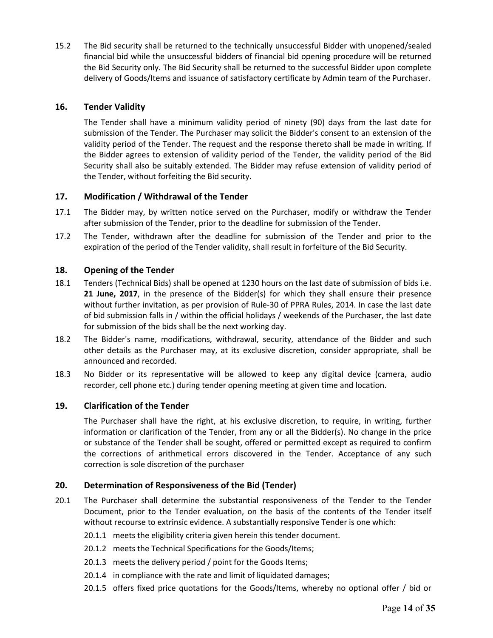15.2 The Bid security shall be returned to the technically unsuccessful Bidder with unopened/sealed financial bid while the unsuccessful bidders of financial bid opening procedure will be returned the Bid Security only. The Bid Security shall be returned to the successful Bidder upon complete delivery of Goods/Items and issuance of satisfactory certificate by Admin team of the Purchaser.

# **16. Tender Validity**

The Tender shall have a minimum validity period of ninety (90) days from the last date for submission of the Tender. The Purchaser may solicit the Bidder's consent to an extension of the validity period of the Tender. The request and the response thereto shall be made in writing. If the Bidder agrees to extension of validity period of the Tender, the validity period of the Bid Security shall also be suitably extended. The Bidder may refuse extension of validity period of the Tender, without forfeiting the Bid security.

# **17. Modification / Withdrawal of the Tender**

- 17.1 The Bidder may, by written notice served on the Purchaser, modify or withdraw the Tender after submission of the Tender, prior to the deadline for submission of the Tender.
- 17.2 The Tender, withdrawn after the deadline for submission of the Tender and prior to the expiration of the period of the Tender validity, shall result in forfeiture of the Bid Security.

# **18. Opening of the Tender**

- 18.1 Tenders (Technical Bids) shall be opened at 1230 hours on the last date of submission of bids i.e. **21 June, 2017**, in the presence of the Bidder(s) for which they shall ensure their presence without further invitation, as per provision of Rule-30 of PPRA Rules, 2014. In case the last date of bid submission falls in / within the official holidays / weekends of the Purchaser, the last date for submission of the bids shall be the next working day.
- 18.2 The Bidder's name, modifications, withdrawal, security, attendance of the Bidder and such other details as the Purchaser may, at its exclusive discretion, consider appropriate, shall be announced and recorded.
- 18.3 No Bidder or its representative will be allowed to keep any digital device (camera, audio recorder, cell phone etc.) during tender opening meeting at given time and location.

# **19. Clarification of the Tender**

The Purchaser shall have the right, at his exclusive discretion, to require, in writing, further information or clarification of the Tender, from any or all the Bidder(s). No change in the price or substance of the Tender shall be sought, offered or permitted except as required to confirm the corrections of arithmetical errors discovered in the Tender. Acceptance of any such correction is sole discretion of the purchaser

# **20. Determination of Responsiveness of the Bid (Tender)**

- 20.1 The Purchaser shall determine the substantial responsiveness of the Tender to the Tender Document, prior to the Tender evaluation, on the basis of the contents of the Tender itself without recourse to extrinsic evidence. A substantially responsive Tender is one which:
	- 20.1.1 meets the eligibility criteria given herein this tender document.
	- 20.1.2 meets the Technical Specifications for the Goods/Items;
	- 20.1.3 meets the delivery period / point for the Goods Items;
	- 20.1.4 in compliance with the rate and limit of liquidated damages;
	- 20.1.5 offers fixed price quotations for the Goods/Items, whereby no optional offer / bid or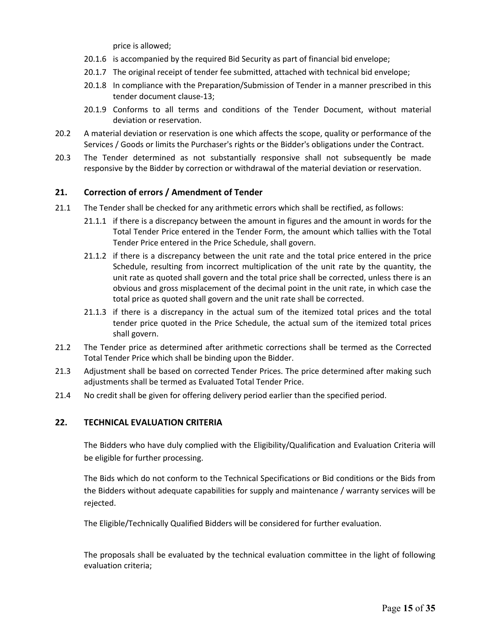price is allowed;

- 20.1.6 is accompanied by the required Bid Security as part of financial bid envelope;
- 20.1.7 The original receipt of tender fee submitted, attached with technical bid envelope;
- 20.1.8 In compliance with the Preparation/Submission of Tender in a manner prescribed in this tender document clause-13;
- 20.1.9 Conforms to all terms and conditions of the Tender Document, without material deviation or reservation.
- 20.2 A material deviation or reservation is one which affects the scope, quality or performance of the Services / Goods or limits the Purchaser's rights or the Bidder's obligations under the Contract.
- 20.3 The Tender determined as not substantially responsive shall not subsequently be made responsive by the Bidder by correction or withdrawal of the material deviation or reservation.

# **21. Correction of errors / Amendment of Tender**

- 21.1 The Tender shall be checked for any arithmetic errors which shall be rectified, as follows:
	- 21.1.1 if there is a discrepancy between the amount in figures and the amount in words for the Total Tender Price entered in the Tender Form, the amount which tallies with the Total Tender Price entered in the Price Schedule, shall govern.
	- 21.1.2 if there is a discrepancy between the unit rate and the total price entered in the price Schedule, resulting from incorrect multiplication of the unit rate by the quantity, the unit rate as quoted shall govern and the total price shall be corrected, unless there is an obvious and gross misplacement of the decimal point in the unit rate, in which case the total price as quoted shall govern and the unit rate shall be corrected.
	- 21.1.3 if there is a discrepancy in the actual sum of the itemized total prices and the total tender price quoted in the Price Schedule, the actual sum of the itemized total prices shall govern.
- 21.2 The Tender price as determined after arithmetic corrections shall be termed as the Corrected Total Tender Price which shall be binding upon the Bidder.
- 21.3 Adjustment shall be based on corrected Tender Prices. The price determined after making such adjustments shall be termed as Evaluated Total Tender Price.
- 21.4 No credit shall be given for offering delivery period earlier than the specified period.

# **22. TECHNICAL EVALUATION CRITERIA**

The Bidders who have duly complied with the Eligibility/Qualification and Evaluation Criteria will be eligible for further processing.

The Bids which do not conform to the Technical Specifications or Bid conditions or the Bids from the Bidders without adequate capabilities for supply and maintenance / warranty services will be rejected.

The Eligible/Technically Qualified Bidders will be considered for further evaluation.

The proposals shall be evaluated by the technical evaluation committee in the light of following evaluation criteria;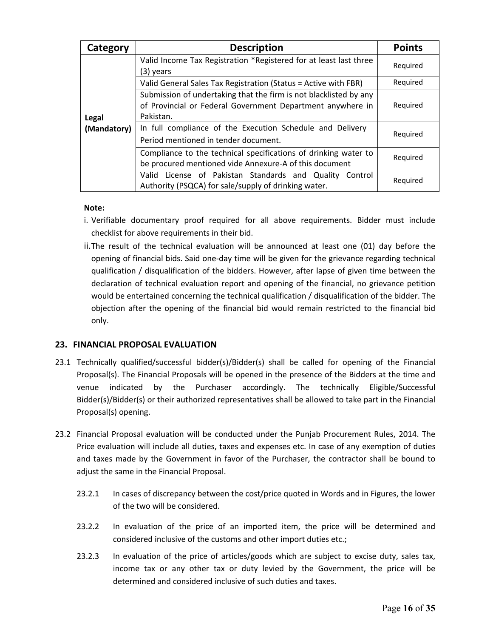| Category    | <b>Description</b>                                                                                                                           | <b>Points</b> |
|-------------|----------------------------------------------------------------------------------------------------------------------------------------------|---------------|
|             | Valid Income Tax Registration *Registered for at least last three<br>(3) years                                                               | Required      |
|             | Valid General Sales Tax Registration (Status = Active with FBR)                                                                              | Required      |
| Legal       | Submission of undertaking that the firm is not blacklisted by any<br>of Provincial or Federal Government Department anywhere in<br>Pakistan. | Required      |
| (Mandatory) | In full compliance of the Execution Schedule and Delivery                                                                                    | Required      |
|             | Period mentioned in tender document.                                                                                                         |               |
|             | Compliance to the technical specifications of drinking water to<br>be procured mentioned vide Annexure-A of this document                    | Required      |
|             | Valid License of Pakistan Standards and Quality Control<br>Authority (PSQCA) for sale/supply of drinking water.                              | Required      |

### **Note:**

- i. Verifiable documentary proof required for all above requirements. Bidder must include checklist for above requirements in their bid.
- ii.The result of the technical evaluation will be announced at least one (01) day before the opening of financial bids. Said one-day time will be given for the grievance regarding technical qualification / disqualification of the bidders. However, after lapse of given time between the declaration of technical evaluation report and opening of the financial, no grievance petition would be entertained concerning the technical qualification / disqualification of the bidder. The objection after the opening of the financial bid would remain restricted to the financial bid only.

# **23. FINANCIAL PROPOSAL EVALUATION**

- 23.1 Technically qualified/successful bidder(s)/Bidder(s) shall be called for opening of the Financial Proposal(s). The Financial Proposals will be opened in the presence of the Bidders at the time and venue indicated by the Purchaser accordingly. The technically Eligible/Successful Bidder(s)/Bidder(s) or their authorized representatives shall be allowed to take part in the Financial Proposal(s) opening.
- 23.2 Financial Proposal evaluation will be conducted under the Punjab Procurement Rules, 2014. The Price evaluation will include all duties, taxes and expenses etc. In case of any exemption of duties and taxes made by the Government in favor of the Purchaser, the contractor shall be bound to adjust the same in the Financial Proposal.
	- 23.2.1 In cases of discrepancy between the cost/price quoted in Words and in Figures, the lower of the two will be considered.
	- 23.2.2 In evaluation of the price of an imported item, the price will be determined and considered inclusive of the customs and other import duties etc.;
	- 23.2.3 In evaluation of the price of articles/goods which are subject to excise duty, sales tax, income tax or any other tax or duty levied by the Government, the price will be determined and considered inclusive of such duties and taxes.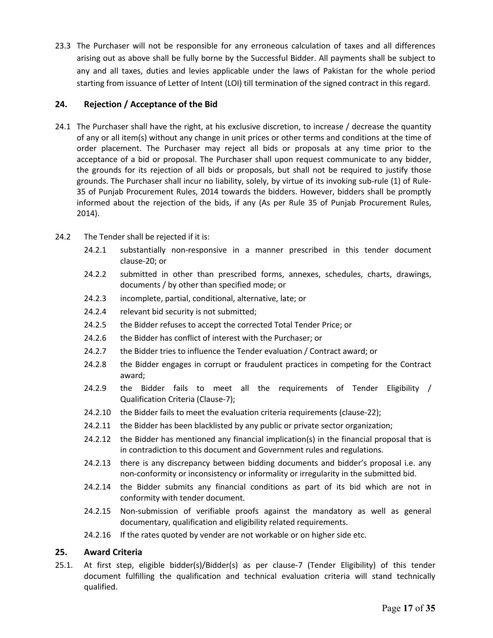23.3 The Purchaser will not be responsible for any erroneous calculation of taxes and all differences arising out as above shall be fully borne by the Successful Bidder. All payments shall be subject to any and all taxes, duties and levies applicable under the laws of Pakistan for the whole period starting from issuance of Letter of Intent (LOI) till termination of the signed contract in this regard.

# **24. Rejection / Acceptance of the Bid**

- 24.1 The Purchaser shall have the right, at his exclusive discretion, to increase / decrease the quantity of any or all item(s) without any change in unit prices or other terms and conditions at the time of order placement. The Purchaser may reject all bids or proposals at any time prior to the acceptance of a bid or proposal. The Purchaser shall upon request communicate to any bidder, the grounds for its rejection of all bids or proposals, but shall not be required to justify those grounds. The Purchaser shall incur no liability, solely, by virtue of its invoking sub-rule (1) of Rule-35 of Punjab Procurement Rules, 2014 towards the bidders. However, bidders shall be promptly informed about the rejection of the bids, if any (As per Rule 35 of Punjab Procurement Rules, 2014).
- 24.2 The Tender shall be rejected if it is:
	- 24.2.1 substantially non-responsive in a manner prescribed in this tender document clause-20; or
	- 24.2.2 submitted in other than prescribed forms, annexes, schedules, charts, drawings, documents / by other than specified mode; or
	- 24.2.3 incomplete, partial, conditional, alternative, late; or
	- 24.2.4 relevant bid security is not submitted;
	- 24.2.5 the Bidder refuses to accept the corrected Total Tender Price; or
	- 24.2.6 the Bidder has conflict of interest with the Purchaser; or
	- 24.2.7 the Bidder tries to influence the Tender evaluation / Contract award; or
	- 24.2.8 the Bidder engages in corrupt or fraudulent practices in competing for the Contract award;
	- 24.2.9 the Bidder fails to meet all the requirements of Tender Eligibility / Qualification Criteria (Clause-7);
	- 24.2.10 the Bidder fails to meet the evaluation criteria requirements (clause-22);
	- 24.2.11 the Bidder has been blacklisted by any public or private sector organization;
	- 24.2.12 the Bidder has mentioned any financial implication(s) in the financial proposal that is in contradiction to this document and Government rules and regulations.
	- 24.2.13 there is any discrepancy between bidding documents and bidder's proposal i.e. any non-conformity or inconsistency or informality or irregularity in the submitted bid.
	- 24.2.14 the Bidder submits any financial conditions as part of its bid which are not in conformity with tender document.
	- 24.2.15 Non-submission of verifiable proofs against the mandatory as well as general documentary, qualification and eligibility related requirements.
	- 24.2.16 If the rates quoted by vender are not workable or on higher side etc.

# **25. Award Criteria**

25.1. At first step, eligible bidder(s)/Bidder(s) as per clause-7 (Tender Eligibility) of this tender document fulfilling the qualification and technical evaluation criteria will stand technically qualified.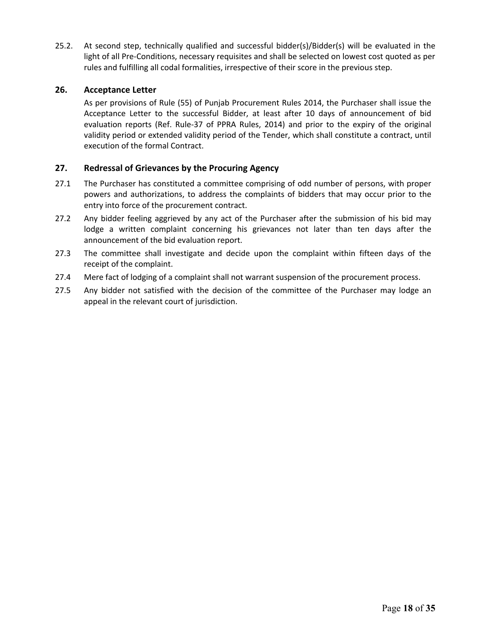25.2. At second step, technically qualified and successful bidder(s)/Bidder(s) will be evaluated in the light of all Pre-Conditions, necessary requisites and shall be selected on lowest cost quoted as per rules and fulfilling all codal formalities, irrespective of their score in the previous step.

# **26. Acceptance Letter**

As per provisions of Rule (55) of Punjab Procurement Rules 2014, the Purchaser shall issue the Acceptance Letter to the successful Bidder, at least after 10 days of announcement of bid evaluation reports (Ref. Rule-37 of PPRA Rules, 2014) and prior to the expiry of the original validity period or extended validity period of the Tender, which shall constitute a contract, until execution of the formal Contract.

# **27. Redressal of Grievances by the Procuring Agency**

- 27.1 The Purchaser has constituted a committee comprising of odd number of persons, with proper powers and authorizations, to address the complaints of bidders that may occur prior to the entry into force of the procurement contract.
- 27.2 Any bidder feeling aggrieved by any act of the Purchaser after the submission of his bid may lodge a written complaint concerning his grievances not later than ten days after the announcement of the bid evaluation report.
- 27.3 The committee shall investigate and decide upon the complaint within fifteen days of the receipt of the complaint.
- 27.4 Mere fact of lodging of a complaint shall not warrant suspension of the procurement process.
- 27.5 Any bidder not satisfied with the decision of the committee of the Purchaser may lodge an appeal in the relevant court of jurisdiction.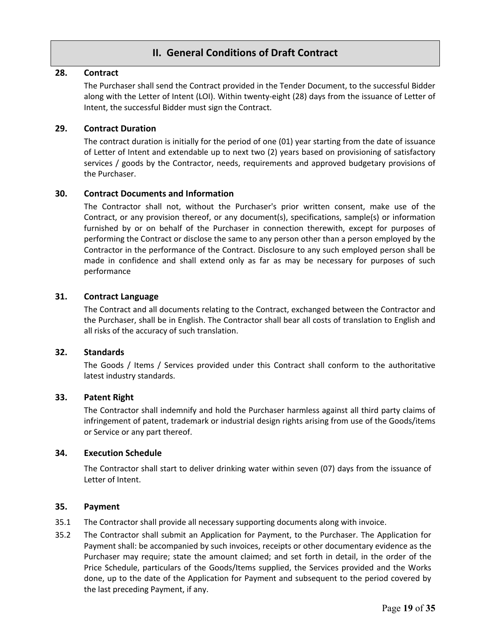# **II. General Conditions of Draft Contract**

# **28. Contract**

The Purchaser shall send the Contract provided in the Tender Document, to the successful Bidder along with the Letter of Intent (LOI). Within twenty-eight (28) days from the issuance of Letter of Intent, the successful Bidder must sign the Contract.

# **29. Contract Duration**

The contract duration is initially for the period of one (01) year starting from the date of issuance of Letter of Intent and extendable up to next two (2) years based on provisioning of satisfactory services / goods by the Contractor, needs, requirements and approved budgetary provisions of the Purchaser.

# **30. Contract Documents and Information**

The Contractor shall not, without the Purchaser's prior written consent, make use of the Contract, or any provision thereof, or any document(s), specifications, sample(s) or information furnished by or on behalf of the Purchaser in connection therewith, except for purposes of performing the Contract or disclose the same to any person other than a person employed by the Contractor in the performance of the Contract. Disclosure to any such employed person shall be made in confidence and shall extend only as far as may be necessary for purposes of such performance

# **31. Contract Language**

The Contract and all documents relating to the Contract, exchanged between the Contractor and the Purchaser, shall be in English. The Contractor shall bear all costs of translation to English and all risks of the accuracy of such translation.

# **32. Standards**

The Goods / Items / Services provided under this Contract shall conform to the authoritative latest industry standards.

# **33. Patent Right**

The Contractor shall indemnify and hold the Purchaser harmless against all third party claims of infringement of patent, trademark or industrial design rights arising from use of the Goods/items or Service or any part thereof.

# **34. Execution Schedule**

The Contractor shall start to deliver drinking water within seven (07) days from the issuance of Letter of Intent.

# **35. Payment**

- 35.1 The Contractor shall provide all necessary supporting documents along with invoice.
- 35.2 The Contractor shall submit an Application for Payment, to the Purchaser. The Application for Payment shall: be accompanied by such invoices, receipts or other documentary evidence as the Purchaser may require; state the amount claimed; and set forth in detail, in the order of the Price Schedule, particulars of the Goods/Items supplied, the Services provided and the Works done, up to the date of the Application for Payment and subsequent to the period covered by the last preceding Payment, if any.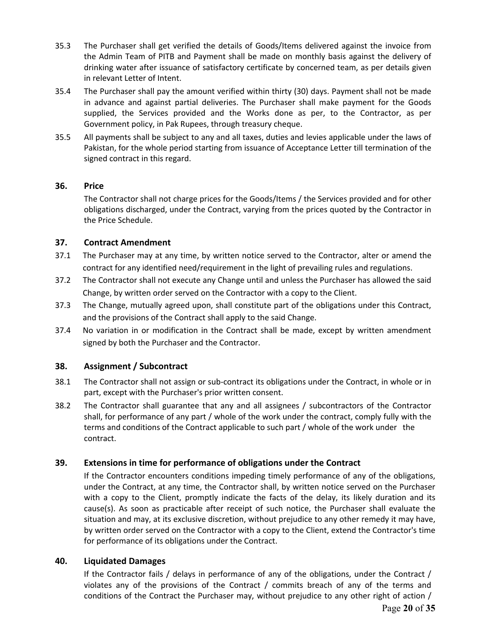- 35.3 The Purchaser shall get verified the details of Goods/Items delivered against the invoice from the Admin Team of PITB and Payment shall be made on monthly basis against the delivery of drinking water after issuance of satisfactory certificate by concerned team, as per details given in relevant Letter of Intent.
- 35.4 The Purchaser shall pay the amount verified within thirty (30) days. Payment shall not be made in advance and against partial deliveries. The Purchaser shall make payment for the Goods supplied, the Services provided and the Works done as per, to the Contractor, as per Government policy, in Pak Rupees, through treasury cheque.
- 35.5 All payments shall be subject to any and all taxes, duties and levies applicable under the laws of Pakistan, for the whole period starting from issuance of Acceptance Letter till termination of the signed contract in this regard.

# **36. Price**

The Contractor shall not charge prices for the Goods/Items / the Services provided and for other obligations discharged, under the Contract, varying from the prices quoted by the Contractor in the Price Schedule.

# **37. Contract Amendment**

- 37.1 The Purchaser may at any time, by written notice served to the Contractor, alter or amend the contract for any identified need/requirement in the light of prevailing rules and regulations.
- 37.2 The Contractor shall not execute any Change until and unless the Purchaser has allowed the said Change, by written order served on the Contractor with a copy to the Client.
- 37.3 The Change, mutually agreed upon, shall constitute part of the obligations under this Contract, and the provisions of the Contract shall apply to the said Change.
- 37.4 No variation in or modification in the Contract shall be made, except by written amendment signed by both the Purchaser and the Contractor.

# **38. Assignment / Subcontract**

- 38.1 The Contractor shall not assign or sub-contract its obligations under the Contract, in whole or in part, except with the Purchaser's prior written consent.
- 38.2 The Contractor shall guarantee that any and all assignees / subcontractors of the Contractor shall, for performance of any part / whole of the work under the contract, comply fully with the terms and conditions of the Contract applicable to such part / whole of the work under the contract.

# **39. Extensions in time for performance of obligations under the Contract**

If the Contractor encounters conditions impeding timely performance of any of the obligations, under the Contract, at any time, the Contractor shall, by written notice served on the Purchaser with a copy to the Client, promptly indicate the facts of the delay, its likely duration and its cause(s). As soon as practicable after receipt of such notice, the Purchaser shall evaluate the situation and may, at its exclusive discretion, without prejudice to any other remedy it may have, by written order served on the Contractor with a copy to the Client, extend the Contractor's time for performance of its obligations under the Contract.

# **40. Liquidated Damages**

If the Contractor fails / delays in performance of any of the obligations, under the Contract / violates any of the provisions of the Contract / commits breach of any of the terms and conditions of the Contract the Purchaser may, without prejudice to any other right of action /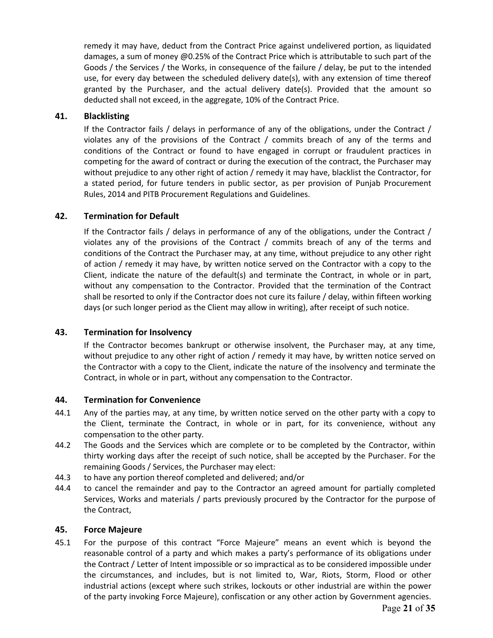remedy it may have, deduct from the Contract Price against undelivered portion, as liquidated damages, a sum of money @0.25% of the Contract Price which is attributable to such part of the Goods / the Services / the Works, in consequence of the failure / delay, be put to the intended use, for every day between the scheduled delivery date(s), with any extension of time thereof granted by the Purchaser, and the actual delivery date(s). Provided that the amount so deducted shall not exceed, in the aggregate, 10% of the Contract Price.

# **41. Blacklisting**

If the Contractor fails / delays in performance of any of the obligations, under the Contract / violates any of the provisions of the Contract / commits breach of any of the terms and conditions of the Contract or found to have engaged in corrupt or fraudulent practices in competing for the award of contract or during the execution of the contract, the Purchaser may without prejudice to any other right of action / remedy it may have, blacklist the Contractor, for a stated period, for future tenders in public sector, as per provision of Punjab Procurement Rules, 2014 and PITB Procurement Regulations and Guidelines.

# **42. Termination for Default**

If the Contractor fails / delays in performance of any of the obligations, under the Contract / violates any of the provisions of the Contract / commits breach of any of the terms and conditions of the Contract the Purchaser may, at any time, without prejudice to any other right of action / remedy it may have, by written notice served on the Contractor with a copy to the Client, indicate the nature of the default(s) and terminate the Contract, in whole or in part, without any compensation to the Contractor. Provided that the termination of the Contract shall be resorted to only if the Contractor does not cure its failure / delay, within fifteen working days (or such longer period as the Client may allow in writing), after receipt of such notice.

# **43. Termination for Insolvency**

If the Contractor becomes bankrupt or otherwise insolvent, the Purchaser may, at any time, without prejudice to any other right of action / remedy it may have, by written notice served on the Contractor with a copy to the Client, indicate the nature of the insolvency and terminate the Contract, in whole or in part, without any compensation to the Contractor.

# **44. Termination for Convenience**

- 44.1 Any of the parties may, at any time, by written notice served on the other party with a copy to the Client, terminate the Contract, in whole or in part, for its convenience, without any compensation to the other party.
- 44.2 The Goods and the Services which are complete or to be completed by the Contractor, within thirty working days after the receipt of such notice, shall be accepted by the Purchaser. For the remaining Goods / Services, the Purchaser may elect:
- 44.3 to have any portion thereof completed and delivered; and/or
- 44.4 to cancel the remainder and pay to the Contractor an agreed amount for partially completed Services, Works and materials / parts previously procured by the Contractor for the purpose of the Contract,

# **45. Force Majeure**

45.1 For the purpose of this contract "Force Majeure" means an event which is beyond the reasonable control of a party and which makes a party's performance of its obligations under the Contract / Letter of Intent impossible or so impractical as to be considered impossible under the circumstances, and includes, but is not limited to, War, Riots, Storm, Flood or other industrial actions (except where such strikes, lockouts or other industrial are within the power of the party invoking Force Majeure), confiscation or any other action by Government agencies.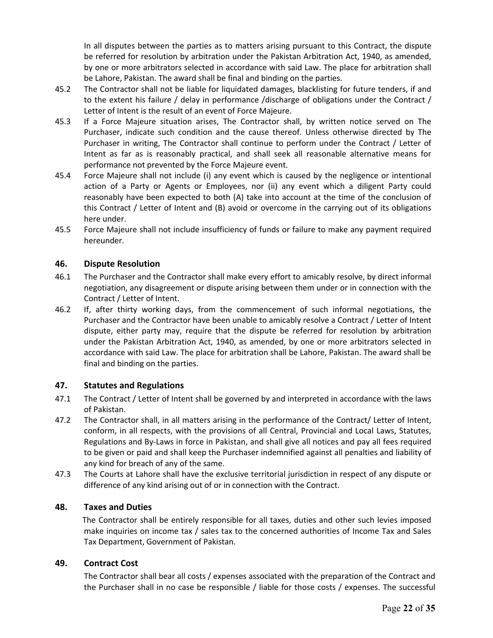In all disputes between the parties as to matters arising pursuant to this Contract, the dispute be referred for resolution by arbitration under the Pakistan Arbitration Act, 1940, as amended, by one or more arbitrators selected in accordance with said Law. The place for arbitration shall be Lahore, Pakistan. The award shall be final and binding on the parties.

- 45.2 The Contractor shall not be liable for liquidated damages, blacklisting for future tenders, if and to the extent his failure / delay in performance /discharge of obligations under the Contract / Letter of Intent is the result of an event of Force Majeure.
- 45.3 If a Force Majeure situation arises, The Contractor shall, by written notice served on The Purchaser, indicate such condition and the cause thereof. Unless otherwise directed by The Purchaser in writing, The Contractor shall continue to perform under the Contract / Letter of Intent as far as is reasonably practical, and shall seek all reasonable alternative means for performance not prevented by the Force Majeure event.
- 45.4 Force Majeure shall not include (i) any event which is caused by the negligence or intentional action of a Party or Agents or Employees, nor (ii) any event which a diligent Party could reasonably have been expected to both (A) take into account at the time of the conclusion of this Contract / Letter of Intent and (B) avoid or overcome in the carrying out of its obligations here under.
- 45.5 Force Majeure shall not include insufficiency of funds or failure to make any payment required hereunder.

# **46. Dispute Resolution**

- 46.1 The Purchaser and the Contractor shall make every effort to amicably resolve, by direct informal negotiation, any disagreement or dispute arising between them under or in connection with the Contract / Letter of Intent.
- 46.2 If, after thirty working days, from the commencement of such informal negotiations, the Purchaser and the Contractor have been unable to amicably resolve a Contract / Letter of Intent dispute, either party may, require that the dispute be referred for resolution by arbitration under the Pakistan Arbitration Act, 1940, as amended, by one or more arbitrators selected in accordance with said Law. The place for arbitration shall be Lahore, Pakistan. The award shall be final and binding on the parties.

# **47. Statutes and Regulations**

- 47.1 The Contract / Letter of Intent shall be governed by and interpreted in accordance with the laws of Pakistan.
- 47.2 The Contractor shall, in all matters arising in the performance of the Contract/ Letter of Intent, conform, in all respects, with the provisions of all Central, Provincial and Local Laws, Statutes, Regulations and By-Laws in force in Pakistan, and shall give all notices and pay all fees required to be given or paid and shall keep the Purchaser indemnified against all penalties and liability of any kind for breach of any of the same.
- 47.3 The Courts at Lahore shall have the exclusive territorial jurisdiction in respect of any dispute or difference of any kind arising out of or in connection with the Contract.

# **48. Taxes and Duties**

The Contractor shall be entirely responsible for all taxes, duties and other such levies imposed make inquiries on income tax / sales tax to the concerned authorities of Income Tax and Sales Tax Department, Government of Pakistan.

# **49. Contract Cost**

The Contractor shall bear all costs / expenses associated with the preparation of the Contract and the Purchaser shall in no case be responsible / liable for those costs / expenses. The successful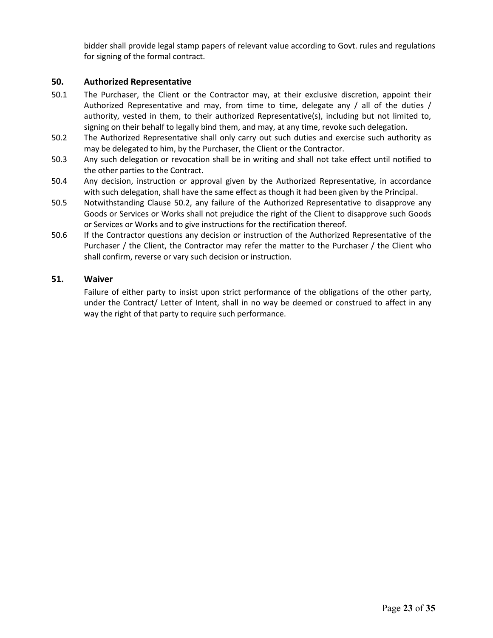bidder shall provide legal stamp papers of relevant value according to Govt. rules and regulations for signing of the formal contract.

# **50. Authorized Representative**

- 50.1 The Purchaser, the Client or the Contractor may, at their exclusive discretion, appoint their Authorized Representative and may, from time to time, delegate any / all of the duties / authority, vested in them, to their authorized Representative(s), including but not limited to, signing on their behalf to legally bind them, and may, at any time, revoke such delegation.
- 50.2 The Authorized Representative shall only carry out such duties and exercise such authority as may be delegated to him, by the Purchaser, the Client or the Contractor.
- 50.3 Any such delegation or revocation shall be in writing and shall not take effect until notified to the other parties to the Contract.
- 50.4 Any decision, instruction or approval given by the Authorized Representative, in accordance with such delegation, shall have the same effect as though it had been given by the Principal.
- 50.5 Notwithstanding Clause 50.2, any failure of the Authorized Representative to disapprove any Goods or Services or Works shall not prejudice the right of the Client to disapprove such Goods or Services or Works and to give instructions for the rectification thereof.
- 50.6 If the Contractor questions any decision or instruction of the Authorized Representative of the Purchaser / the Client, the Contractor may refer the matter to the Purchaser / the Client who shall confirm, reverse or vary such decision or instruction.

# **51. Waiver**

Failure of either party to insist upon strict performance of the obligations of the other party, under the Contract/ Letter of Intent, shall in no way be deemed or construed to affect in any way the right of that party to require such performance.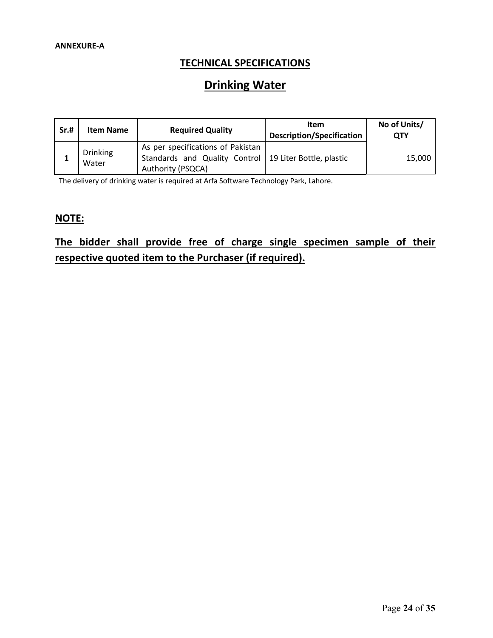# **TECHNICAL SPECIFICATIONS**

# **Drinking Water**

| Sr.# | <b>Item Name</b>         | <b>Required Quality</b>                                                                                            | <b>Item</b><br><b>Description/Specification</b> | No of Units/<br>ОТҮ |
|------|--------------------------|--------------------------------------------------------------------------------------------------------------------|-------------------------------------------------|---------------------|
|      | <b>Drinking</b><br>Water | As per specifications of Pakistan<br>Standards and Quality Control   19 Liter Bottle, plastic<br>Authority (PSQCA) |                                                 | 15,000              |

The delivery of drinking water is required at Arfa Software Technology Park, Lahore.

# **NOTE:**

# **The bidder shall provide free of charge single specimen sample of their respective quoted item to the Purchaser (if required).**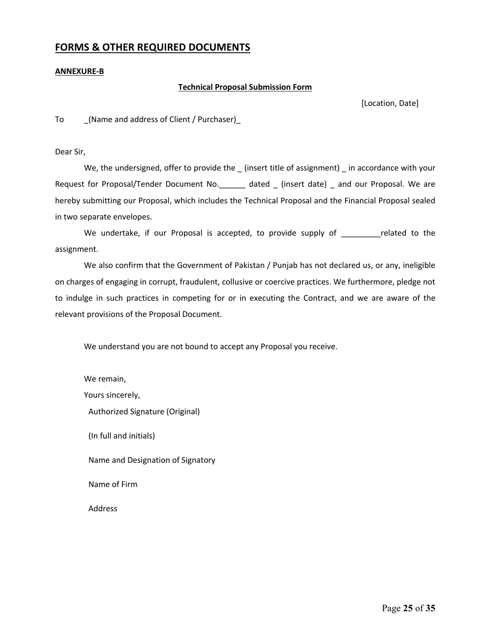# **FORMS & OTHER REQUIRED DOCUMENTS**

#### **ANNEXURE-B**

### **Technical Proposal Submission Form**

[Location, Date]

To \_(Name and address of Client / Purchaser)\_

Dear Sir,

We, the undersigned, offer to provide the \_ (insert title of assignment) \_ in accordance with your Request for Proposal/Tender Document No.\_\_\_\_\_\_ dated \_ (insert date) \_ and our Proposal. We are hereby submitting our Proposal, which includes the Technical Proposal and the Financial Proposal sealed in two separate envelopes.

We undertake, if our Proposal is accepted, to provide supply of The related to the assignment.

We also confirm that the Government of Pakistan / Punjab has not declared us, or any, ineligible on charges of engaging in corrupt, fraudulent, collusive or coercive practices. We furthermore, pledge not to indulge in such practices in competing for or in executing the Contract, and we are aware of the relevant provisions of the Proposal Document.

We understand you are not bound to accept any Proposal you receive.

We remain, Yours sincerely, Authorized Signature (Original) (In full and initials) Name and Designation of Signatory Name of Firm Address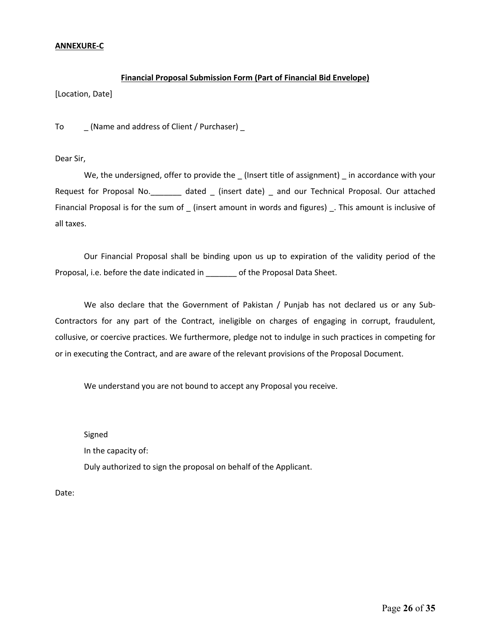## **ANNEXURE-C**

# **Financial Proposal Submission Form (Part of Financial Bid Envelope)**

[Location, Date]

To \_ (Name and address of Client / Purchaser) \_

Dear Sir,

We, the undersigned, offer to provide the (Insert title of assignment) in accordance with your Request for Proposal No. \_\_\_\_\_\_\_ dated \_ (insert date) \_ and our Technical Proposal. Our attached Financial Proposal is for the sum of \_ (insert amount in words and figures) \_. This amount is inclusive of all taxes.

Our Financial Proposal shall be binding upon us up to expiration of the validity period of the Proposal, i.e. before the date indicated in \_\_\_\_\_\_\_ of the Proposal Data Sheet.

We also declare that the Government of Pakistan / Punjab has not declared us or any Sub-Contractors for any part of the Contract, ineligible on charges of engaging in corrupt, fraudulent, collusive, or coercive practices. We furthermore, pledge not to indulge in such practices in competing for or in executing the Contract, and are aware of the relevant provisions of the Proposal Document.

We understand you are not bound to accept any Proposal you receive.

Signed

In the capacity of:

Duly authorized to sign the proposal on behalf of the Applicant.

Date: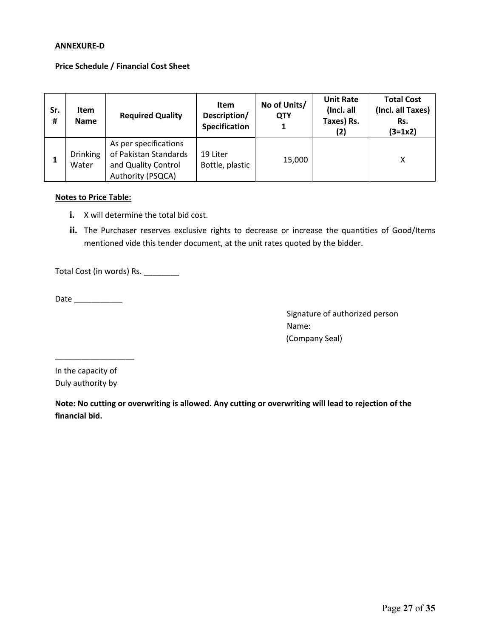### **ANNEXURE-D**

### **Price Schedule / Financial Cost Sheet**

| Sr.<br># | <b>Item</b><br><b>Name</b> | <b>Required Quality</b>                                                                    | <b>Item</b><br>Description/<br><b>Specification</b> | No of Units/<br><b>QTY</b> | <b>Unit Rate</b><br>(Incl. all<br>Taxes) Rs.<br>(2) | <b>Total Cost</b><br>(Incl. all Taxes)<br>Rs.<br>$(3=1x2)$ |
|----------|----------------------------|--------------------------------------------------------------------------------------------|-----------------------------------------------------|----------------------------|-----------------------------------------------------|------------------------------------------------------------|
|          | <b>Drinking</b><br>Water   | As per specifications<br>of Pakistan Standards<br>and Quality Control<br>Authority (PSQCA) | 19 Liter<br>Bottle, plastic                         | 15,000                     |                                                     | Χ                                                          |

#### **Notes to Price Table:**

- **i.** X will determine the total bid cost.
- ii. The Purchaser reserves exclusive rights to decrease or increase the quantities of Good/Items mentioned vide this tender document, at the unit rates quoted by the bidder.

Total Cost (in words) Rs. \_\_\_\_\_\_\_\_\_

Date \_\_\_\_\_\_\_\_\_\_\_

Signature of authorized person Name: (Company Seal)

In the capacity of Duly authority by

\_\_\_\_\_\_\_\_\_\_\_\_\_\_\_\_\_\_

**Note: No cutting or overwriting is allowed. Any cutting or overwriting will lead to rejection of the financial bid.**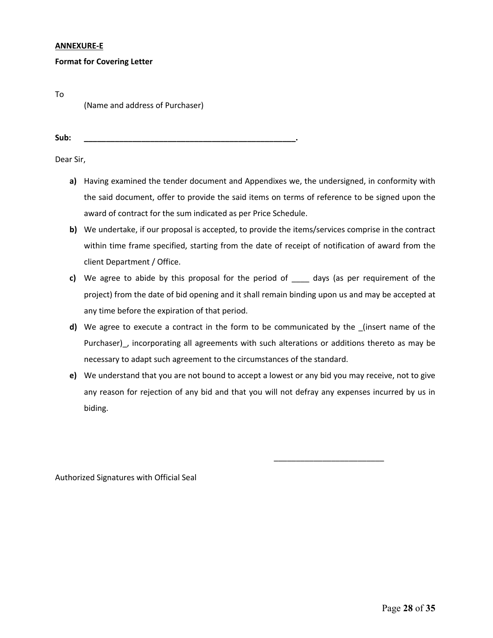#### **ANNEXURE-E**

### **Format for Covering Letter**

(Name and address of Purchaser)

**Sub: \_\_\_\_\_\_\_\_\_\_\_\_\_\_\_\_\_\_\_\_\_\_\_\_\_\_\_\_\_\_\_\_\_\_\_\_\_\_\_\_\_\_\_\_\_\_\_\_.** 

To

Dear Sir,

- **a)** Having examined the tender document and Appendixes we, the undersigned, in conformity with the said document, offer to provide the said items on terms of reference to be signed upon the award of contract for the sum indicated as per Price Schedule.
- **b)** We undertake, if our proposal is accepted, to provide the items/services comprise in the contract within time frame specified, starting from the date of receipt of notification of award from the client Department / Office.
- **c)** We agree to abide by this proposal for the period of \_\_\_\_ days (as per requirement of the project) from the date of bid opening and it shall remain binding upon us and may be accepted at any time before the expiration of that period.
- **d)** We agree to execute a contract in the form to be communicated by the \_(insert name of the Purchaser), incorporating all agreements with such alterations or additions thereto as may be necessary to adapt such agreement to the circumstances of the standard.
- **e)** We understand that you are not bound to accept a lowest or any bid you may receive, not to give any reason for rejection of any bid and that you will not defray any expenses incurred by us in biding.

\_\_\_\_\_\_\_\_\_\_\_\_\_\_\_\_\_\_\_\_\_\_\_\_\_

Authorized Signatures with Official Seal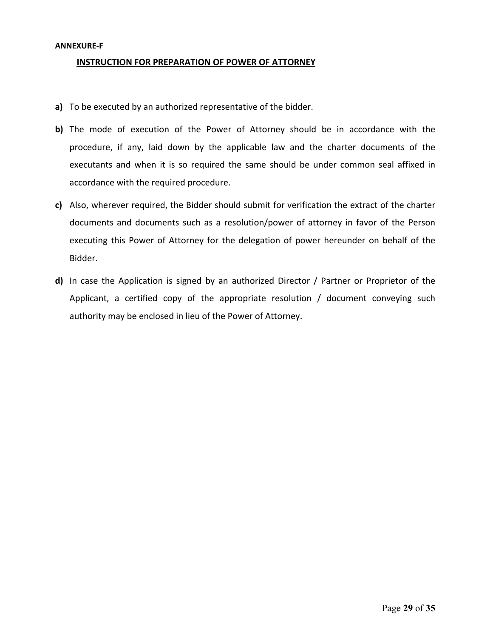### **ANNEXURE-F**

### **INSTRUCTION FOR PREPARATION OF POWER OF ATTORNEY**

- **a)** To be executed by an authorized representative of the bidder.
- **b)** The mode of execution of the Power of Attorney should be in accordance with the procedure, if any, laid down by the applicable law and the charter documents of the executants and when it is so required the same should be under common seal affixed in accordance with the required procedure.
- **c)** Also, wherever required, the Bidder should submit for verification the extract of the charter documents and documents such as a resolution/power of attorney in favor of the Person executing this Power of Attorney for the delegation of power hereunder on behalf of the Bidder.
- **d)** In case the Application is signed by an authorized Director / Partner or Proprietor of the Applicant, a certified copy of the appropriate resolution / document conveying such authority may be enclosed in lieu of the Power of Attorney.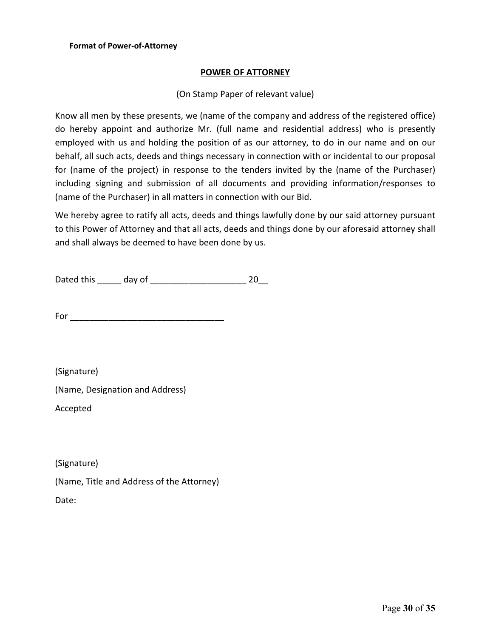# **POWER OF ATTORNEY**

# (On Stamp Paper of relevant value)

Know all men by these presents, we (name of the company and address of the registered office) do hereby appoint and authorize Mr. (full name and residential address) who is presently employed with us and holding the position of as our attorney, to do in our name and on our behalf, all such acts, deeds and things necessary in connection with or incidental to our proposal for (name of the project) in response to the tenders invited by the (name of the Purchaser) including signing and submission of all documents and providing information/responses to (name of the Purchaser) in all matters in connection with our Bid.

We hereby agree to ratify all acts, deeds and things lawfully done by our said attorney pursuant to this Power of Attorney and that all acts, deeds and things done by our aforesaid attorney shall and shall always be deemed to have been done by us.

Dated this \_\_\_\_\_ day of \_\_\_\_\_\_\_\_\_\_\_\_\_\_\_\_\_\_\_\_ 20\_\_

For \_\_\_\_\_\_\_\_\_\_\_\_\_\_\_\_\_\_\_\_\_\_\_\_\_\_\_\_\_\_\_\_

(Signature)

(Name, Designation and Address)

Accepted

(Signature)

(Name, Title and Address of the Attorney) Date: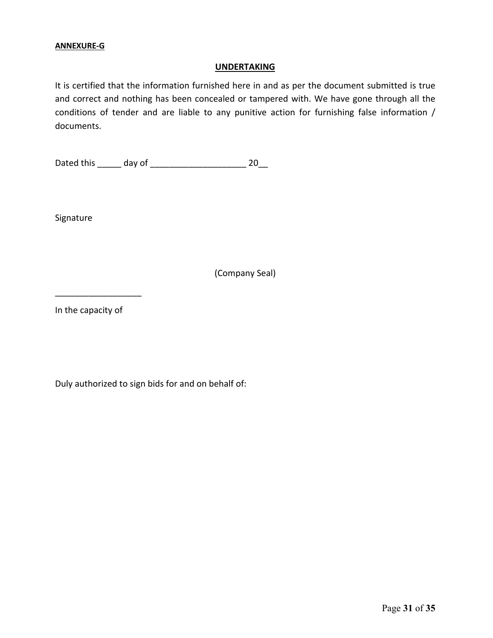# **ANNEXURE-G**

### **UNDERTAKING**

It is certified that the information furnished here in and as per the document submitted is true and correct and nothing has been concealed or tampered with. We have gone through all the conditions of tender and are liable to any punitive action for furnishing false information / documents.

Dated this \_\_\_\_\_ day of \_\_\_\_\_\_\_\_\_\_\_\_\_\_\_\_\_\_\_\_ 20\_\_

Signature

(Company Seal)

In the capacity of

\_\_\_\_\_\_\_\_\_\_\_\_\_\_\_\_\_\_

Duly authorized to sign bids for and on behalf of: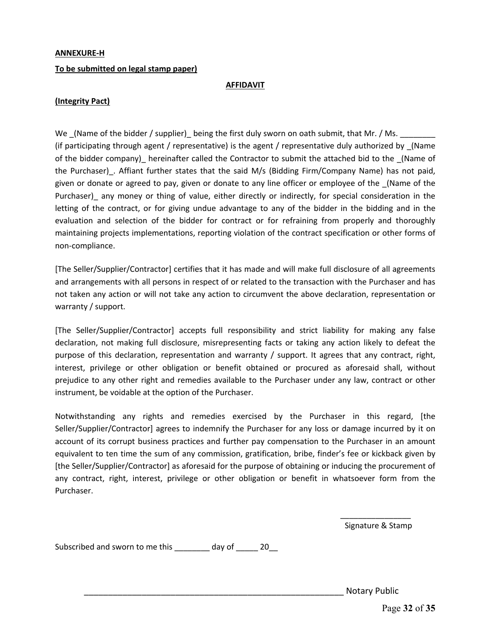#### **ANNEXURE-H**

#### **To be submitted on legal stamp paper)**

#### **AFFIDAVIT**

## **(Integrity Pact)**

We (Name of the bidder / supplier) being the first duly sworn on oath submit, that Mr. / Ms. (if participating through agent / representative) is the agent / representative duly authorized by \_(Name of the bidder company)\_ hereinafter called the Contractor to submit the attached bid to the \_(Name of the Purchaser). Affiant further states that the said M/s (Bidding Firm/Company Name) has not paid, given or donate or agreed to pay, given or donate to any line officer or employee of the \_(Name of the Purchaser) any money or thing of value, either directly or indirectly, for special consideration in the letting of the contract, or for giving undue advantage to any of the bidder in the bidding and in the evaluation and selection of the bidder for contract or for refraining from properly and thoroughly maintaining projects implementations, reporting violation of the contract specification or other forms of non-compliance.

[The Seller/Supplier/Contractor] certifies that it has made and will make full disclosure of all agreements and arrangements with all persons in respect of or related to the transaction with the Purchaser and has not taken any action or will not take any action to circumvent the above declaration, representation or warranty / support.

[The Seller/Supplier/Contractor] accepts full responsibility and strict liability for making any false declaration, not making full disclosure, misrepresenting facts or taking any action likely to defeat the purpose of this declaration, representation and warranty / support. It agrees that any contract, right, interest, privilege or other obligation or benefit obtained or procured as aforesaid shall, without prejudice to any other right and remedies available to the Purchaser under any law, contract or other instrument, be voidable at the option of the Purchaser.

Notwithstanding any rights and remedies exercised by the Purchaser in this regard, [the Seller/Supplier/Contractor] agrees to indemnify the Purchaser for any loss or damage incurred by it on account of its corrupt business practices and further pay compensation to the Purchaser in an amount equivalent to ten time the sum of any commission, gratification, bribe, finder's fee or kickback given by [the Seller/Supplier/Contractor] as aforesaid for the purpose of obtaining or inducing the procurement of any contract, right, interest, privilege or other obligation or benefit in whatsoever form from the Purchaser.

> \_\_\_\_\_\_\_\_\_\_\_\_\_\_\_\_ Signature & Stamp

Subscribed and sworn to me this \_\_\_\_\_\_\_ day of \_\_\_\_\_ 20\_

Notary Public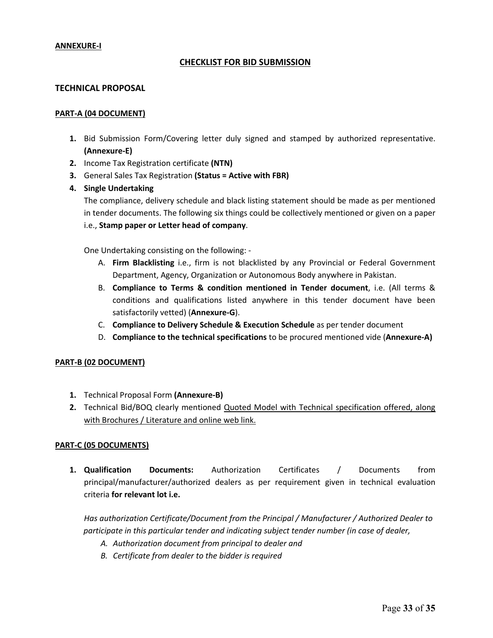### **ANNEXURE-I**

# **CHECKLIST FOR BID SUBMISSION**

### **TECHNICAL PROPOSAL**

#### **PART-A (04 DOCUMENT)**

- **1.** Bid Submission Form/Covering letter duly signed and stamped by authorized representative. **(Annexure-E)**
- **2.** Income Tax Registration certificate **(NTN)**
- **3.** General Sales Tax Registration **(Status = Active with FBR)**
- **4. Single Undertaking**

The compliance, delivery schedule and black listing statement should be made as per mentioned in tender documents. The following six things could be collectively mentioned or given on a paper i.e., **Stamp paper or Letter head of company**.

One Undertaking consisting on the following: -

- A. **Firm Blacklisting** i.e., firm is not blacklisted by any Provincial or Federal Government Department, Agency, Organization or Autonomous Body anywhere in Pakistan.
- B. **Compliance to Terms & condition mentioned in Tender document**, i.e. (All terms & conditions and qualifications listed anywhere in this tender document have been satisfactorily vetted) (**Annexure-G**).
- C. **Compliance to Delivery Schedule & Execution Schedule** as per tender document
- D. **Compliance to the technical specifications** to be procured mentioned vide (**Annexure-A)**

#### **PART-B (02 DOCUMENT)**

- **1.** Technical Proposal Form **(Annexure-B)**
- **2.** Technical Bid/BOQ clearly mentioned Quoted Model with Technical specification offered, along with Brochures / Literature and online web link.

# **PART-C (05 DOCUMENTS)**

**1. Qualification Documents:** Authorization Certificates / Documents from principal/manufacturer/authorized dealers as per requirement given in technical evaluation criteria **for relevant lot i.e.**

*Has authorization Certificate/Document from the Principal / Manufacturer / Authorized Dealer to participate in this particular tender and indicating subject tender number (in case of dealer,*

- *A. Authorization document from principal to dealer and*
- *B. Certificate from dealer to the bidder is required*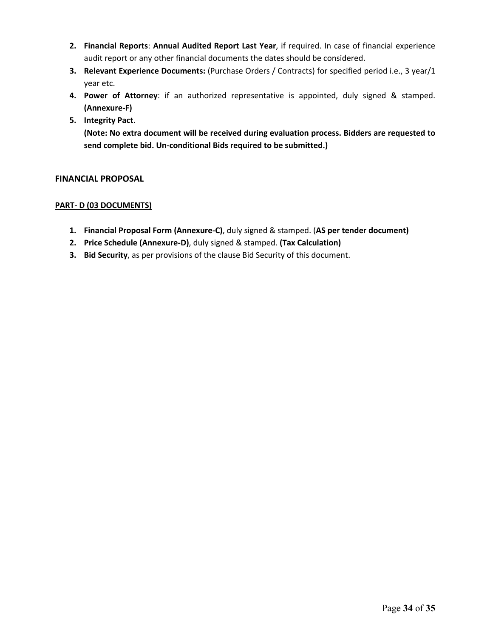- **2. Financial Reports**: **Annual Audited Report Last Year**, if required. In case of financial experience audit report or any other financial documents the dates should be considered.
- **3. Relevant Experience Documents:** (Purchase Orders / Contracts) for specified period i.e., 3 year/1 year etc.
- **4. Power of Attorney**: if an authorized representative is appointed, duly signed & stamped. **(Annexure-F)**
- **5. Integrity Pact**.

**(Note: No extra document will be received during evaluation process. Bidders are requested to send complete bid. Un-conditional Bids required to be submitted.)**

# **FINANCIAL PROPOSAL**

# **PART- D (03 DOCUMENTS)**

- **1. Financial Proposal Form (Annexure-C)**, duly signed & stamped. (**AS per tender document)**
- **2. Price Schedule (Annexure-D)**, duly signed & stamped. **(Tax Calculation)**
- **3. Bid Security**, as per provisions of the clause Bid Security of this document.